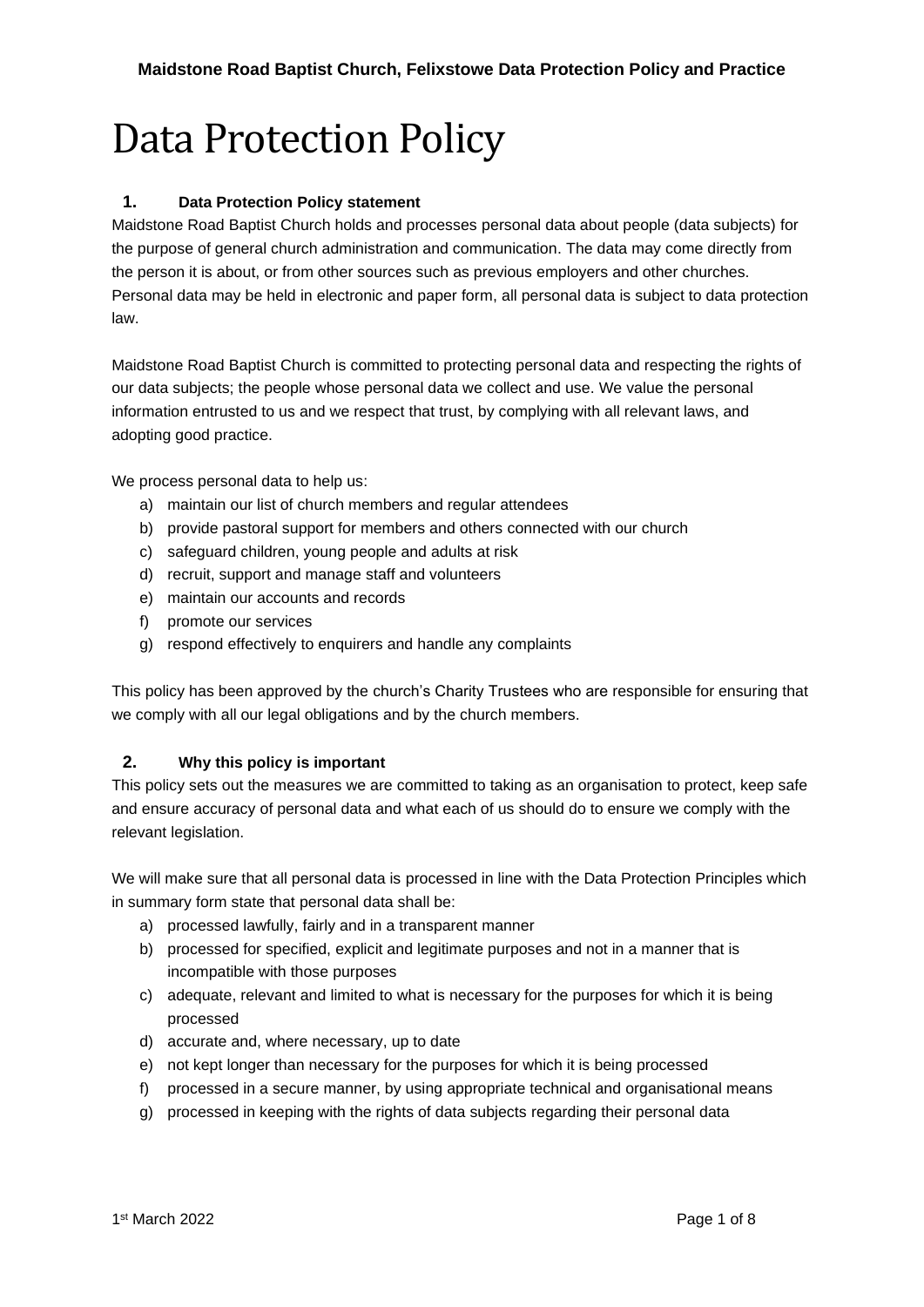# Data Protection Policy

# **1. Data Protection Policy statement**

Maidstone Road Baptist Church holds and processes personal data about people (data subjects) for the purpose of general church administration and communication. The data may come directly from the person it is about, or from other sources such as previous employers and other churches. Personal data may be held in electronic and paper form, all personal data is subject to data protection law.

Maidstone Road Baptist Church is committed to protecting personal data and respecting the rights of our data subjects; the people whose personal data we collect and use. We value the personal information entrusted to us and we respect that trust, by complying with all relevant laws, and adopting good practice.

We process personal data to help us:

- a) maintain our list of church members and regular attendees
- b) provide pastoral support for members and others connected with our church
- c) safeguard children, young people and adults at risk
- d) recruit, support and manage staff and volunteers
- e) maintain our accounts and records
- f) promote our services
- g) respond effectively to enquirers and handle any complaints

This policy has been approved by the church's Charity Trustees who are responsible for ensuring that we comply with all our legal obligations and by the church members.

#### **2. Why this policy is important**

This policy sets out the measures we are committed to taking as an organisation to protect, keep safe and ensure accuracy of personal data and what each of us should do to ensure we comply with the relevant legislation.

We will make sure that all personal data is processed in line with the Data Protection Principles which in summary form state that personal data shall be:

- a) processed lawfully, fairly and in a transparent manner
- b) processed for specified, explicit and legitimate purposes and not in a manner that is incompatible with those purposes
- c) adequate, relevant and limited to what is necessary for the purposes for which it is being processed
- d) accurate and, where necessary, up to date
- e) not kept longer than necessary for the purposes for which it is being processed
- f) processed in a secure manner, by using appropriate technical and organisational means
- g) processed in keeping with the rights of data subjects regarding their personal data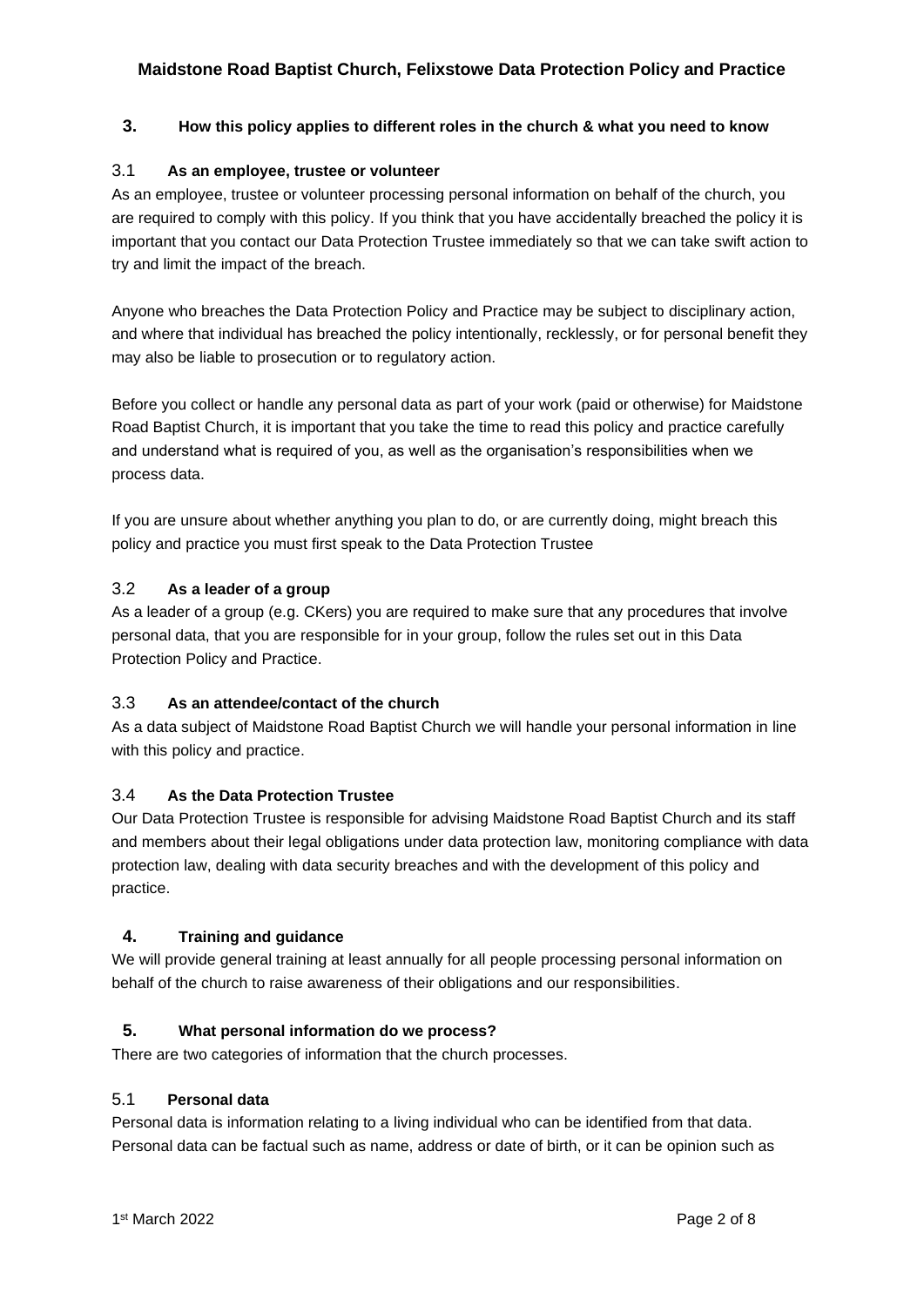## **3. How this policy applies to different roles in the church & what you need to know**

## 3.1 **As an employee, trustee or volunteer**

As an employee, trustee or volunteer processing personal information on behalf of the church, you are required to comply with this policy. If you think that you have accidentally breached the policy it is important that you contact our Data Protection Trustee immediately so that we can take swift action to try and limit the impact of the breach.

Anyone who breaches the Data Protection Policy and Practice may be subject to disciplinary action, and where that individual has breached the policy intentionally, recklessly, or for personal benefit they may also be liable to prosecution or to regulatory action.

Before you collect or handle any personal data as part of your work (paid or otherwise) for Maidstone Road Baptist Church, it is important that you take the time to read this policy and practice carefully and understand what is required of you, as well as the organisation's responsibilities when we process data.

If you are unsure about whether anything you plan to do, or are currently doing, might breach this policy and practice you must first speak to the Data Protection Trustee

## 3.2 **As a leader of a group**

As a leader of a group (e.g. CKers) you are required to make sure that any procedures that involve personal data, that you are responsible for in your group, follow the rules set out in this Data Protection Policy and Practice.

## 3.3 **As an attendee/contact of the church**

As a data subject of Maidstone Road Baptist Church we will handle your personal information in line with this policy and practice.

## 3.4 **As the Data Protection Trustee**

Our Data Protection Trustee is responsible for advising Maidstone Road Baptist Church and its staff and members about their legal obligations under data protection law, monitoring compliance with data protection law, dealing with data security breaches and with the development of this policy and practice.

## **4. Training and guidance**

We will provide general training at least annually for all people processing personal information on behalf of the church to raise awareness of their obligations and our responsibilities.

#### **5. What personal information do we process?**

There are two categories of information that the church processes.

#### 5.1 **Personal data**

Personal data is information relating to a living individual who can be identified from that data. Personal data can be factual such as name, address or date of birth, or it can be opinion such as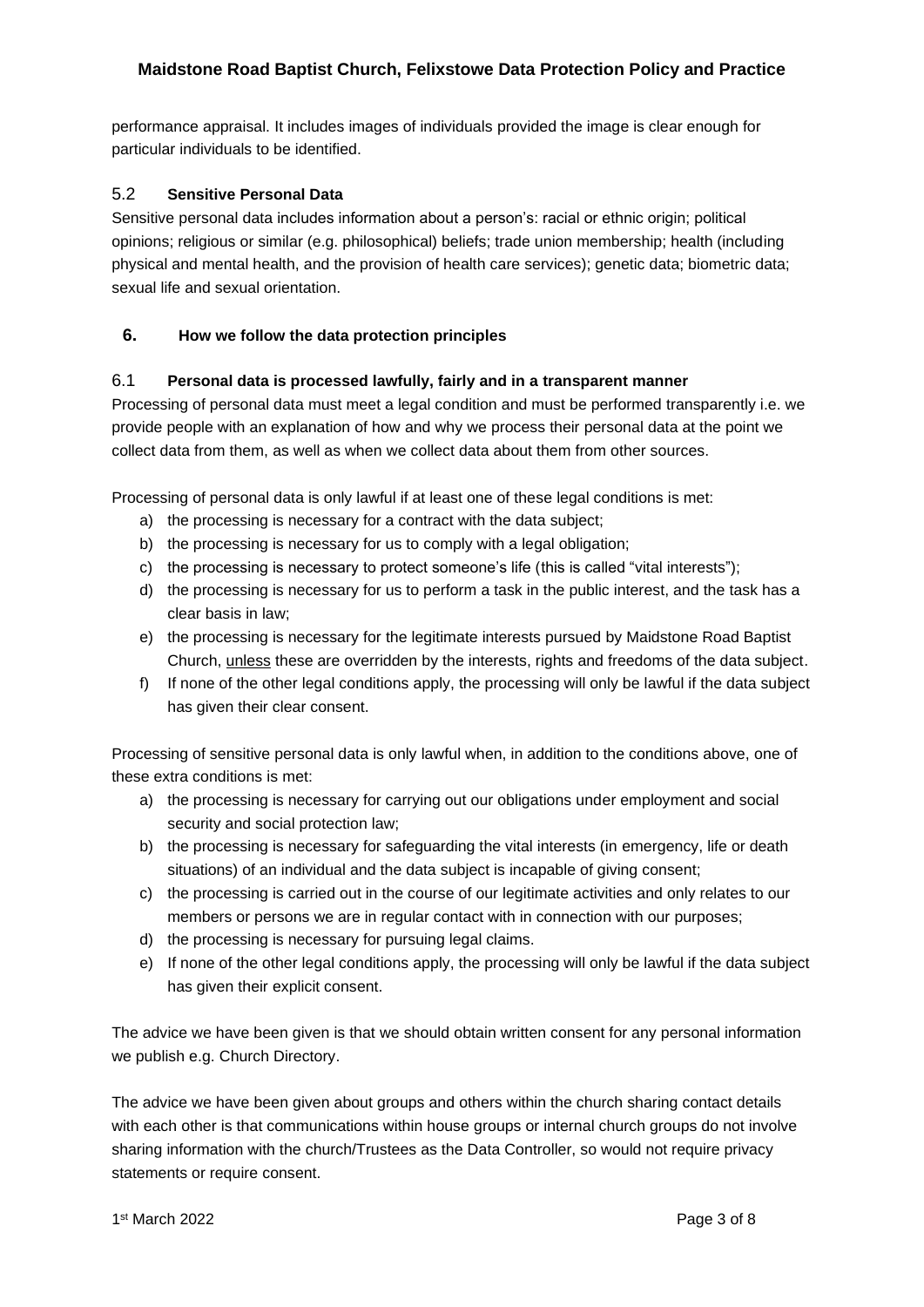performance appraisal. It includes images of individuals provided the image is clear enough for particular individuals to be identified.

## 5.2 **Sensitive Personal Data**

Sensitive personal data includes information about a person's: racial or ethnic origin; political opinions; religious or similar (e.g. philosophical) beliefs; trade union membership; health (including physical and mental health, and the provision of health care services); genetic data; biometric data; sexual life and sexual orientation.

## **6. How we follow the data protection principles**

## 6.1 **Personal data is processed lawfully, fairly and in a transparent manner**

Processing of personal data must meet a legal condition and must be performed transparently i.e. we provide people with an explanation of how and why we process their personal data at the point we collect data from them, as well as when we collect data about them from other sources.

Processing of personal data is only lawful if at least one of these legal conditions is met:

- a) the processing is necessary for a contract with the data subject;
- b) the processing is necessary for us to comply with a legal obligation;
- c) the processing is necessary to protect someone's life (this is called "vital interests");
- d) the processing is necessary for us to perform a task in the public interest, and the task has a clear basis in law;
- e) the processing is necessary for the legitimate interests pursued by Maidstone Road Baptist Church, unless these are overridden by the interests, rights and freedoms of the data subject.
- f) If none of the other legal conditions apply, the processing will only be lawful if the data subject has given their clear consent.

Processing of sensitive personal data is only lawful when, in addition to the conditions above, one of these extra conditions is met:

- a) the processing is necessary for carrying out our obligations under employment and social security and social protection law;
- b) the processing is necessary for safeguarding the vital interests (in emergency, life or death situations) of an individual and the data subject is incapable of giving consent;
- c) the processing is carried out in the course of our legitimate activities and only relates to our members or persons we are in regular contact with in connection with our purposes;
- d) the processing is necessary for pursuing legal claims.
- e) If none of the other legal conditions apply, the processing will only be lawful if the data subject has given their explicit consent.

The advice we have been given is that we should obtain written consent for any personal information we publish e.g. Church Directory.

The advice we have been given about groups and others within the church sharing contact details with each other is that communications within house groups or internal church groups do not involve sharing information with the church/Trustees as the Data Controller, so would not require privacy statements or require consent.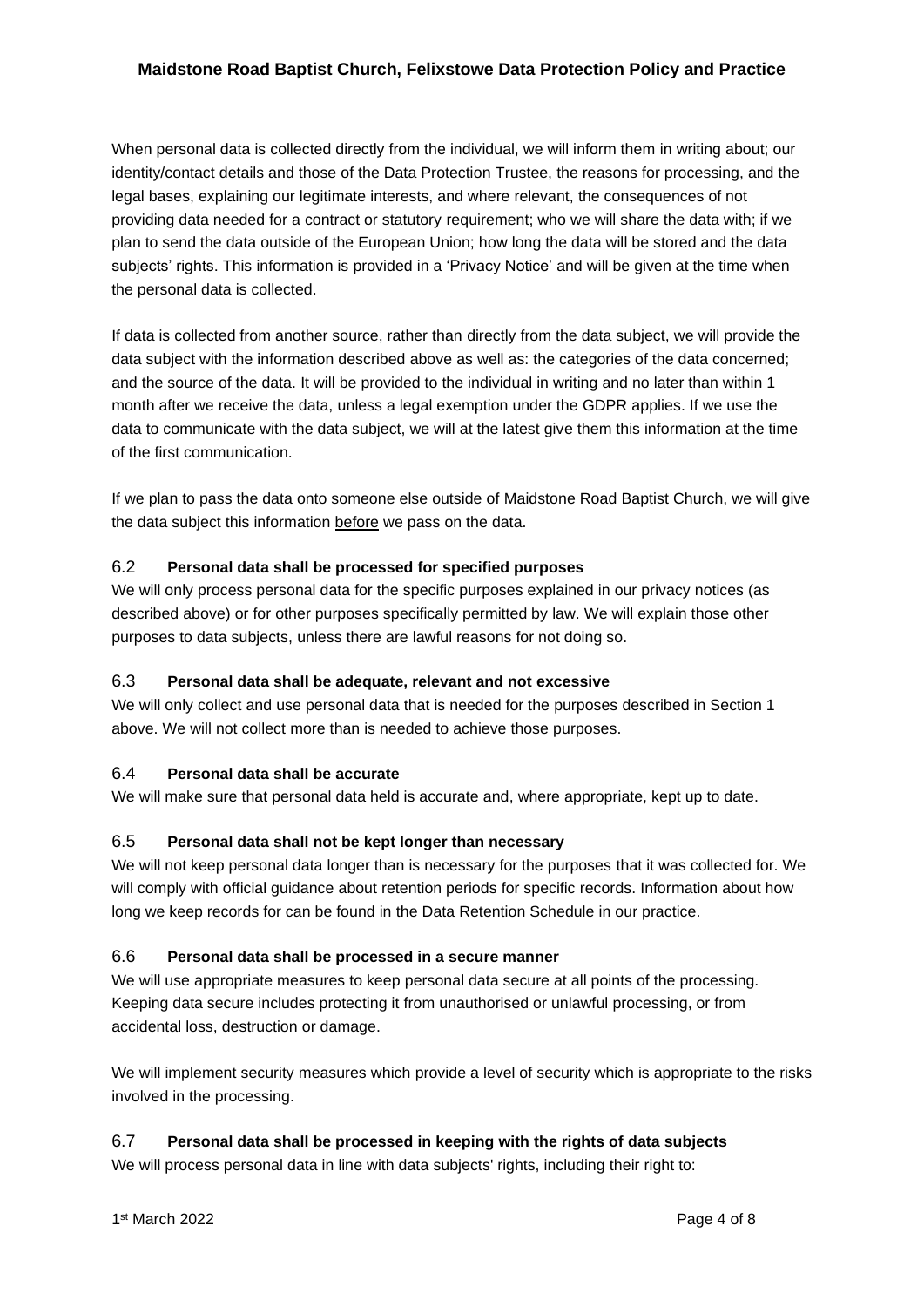When personal data is collected directly from the individual, we will inform them in writing about; our identity/contact details and those of the Data Protection Trustee, the reasons for processing, and the legal bases, explaining our legitimate interests, and where relevant, the consequences of not providing data needed for a contract or statutory requirement; who we will share the data with; if we plan to send the data outside of the European Union; how long the data will be stored and the data subjects' rights. This information is provided in a 'Privacy Notice' and will be given at the time when the personal data is collected.

If data is collected from another source, rather than directly from the data subject, we will provide the data subject with the information described above as well as: the categories of the data concerned; and the source of the data. It will be provided to the individual in writing and no later than within 1 month after we receive the data, unless a legal exemption under the GDPR applies. If we use the data to communicate with the data subject, we will at the latest give them this information at the time of the first communication.

If we plan to pass the data onto someone else outside of Maidstone Road Baptist Church, we will give the data subject this information before we pass on the data.

## 6.2 **Personal data shall be processed for specified purposes**

We will only process personal data for the specific purposes explained in our privacy notices (as described above) or for other purposes specifically permitted by law. We will explain those other purposes to data subjects, unless there are lawful reasons for not doing so.

#### 6.3 **Personal data shall be adequate, relevant and not excessive**

We will only collect and use personal data that is needed for the purposes described in Section 1 above. We will not collect more than is needed to achieve those purposes.

## 6.4 **Personal data shall be accurate**

We will make sure that personal data held is accurate and, where appropriate, kept up to date.

## 6.5 **Personal data shall not be kept longer than necessary**

We will not keep personal data longer than is necessary for the purposes that it was collected for. We will comply with official guidance about retention periods for specific records. Information about how long we keep records for can be found in the Data Retention Schedule in our practice.

## 6.6 **Personal data shall be processed in a secure manner**

We will use appropriate measures to keep personal data secure at all points of the processing. Keeping data secure includes protecting it from unauthorised or unlawful processing, or from accidental loss, destruction or damage.

We will implement security measures which provide a level of security which is appropriate to the risks involved in the processing.

## 6.7 **Personal data shall be processed in keeping with the rights of data subjects**

We will process personal data in line with data subjects' rights, including their right to: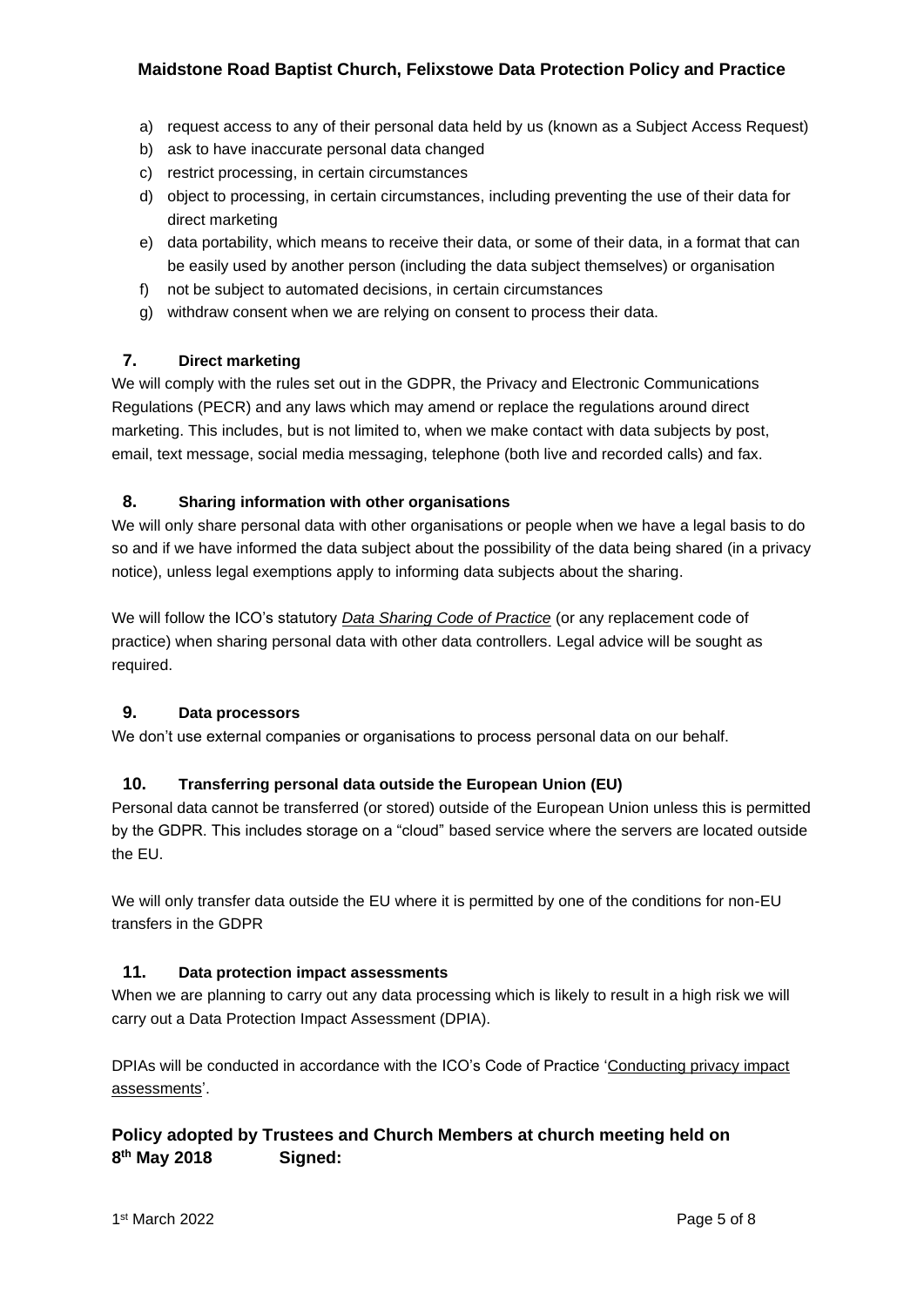- a) request access to any of their personal data held by us (known as a Subject Access Request)
- b) ask to have inaccurate personal data changed
- c) restrict processing, in certain circumstances
- d) object to processing, in certain circumstances, including preventing the use of their data for direct marketing
- e) data portability, which means to receive their data, or some of their data, in a format that can be easily used by another person (including the data subject themselves) or organisation
- f) not be subject to automated decisions, in certain circumstances
- g) withdraw consent when we are relying on consent to process their data.

## **7. Direct marketing**

We will comply with the rules set out in the GDPR, the Privacy and Electronic Communications Regulations (PECR) and any laws which may amend or replace the regulations around direct marketing. This includes, but is not limited to, when we make contact with data subjects by post, email, text message, social media messaging, telephone (both live and recorded calls) and fax.

## **8. Sharing information with other organisations**

We will only share personal data with other organisations or people when we have a legal basis to do so and if we have informed the data subject about the possibility of the data being shared (in a privacy notice), unless legal exemptions apply to informing data subjects about the sharing.

We will follow the ICO's statutory *[Data Sharing Code of Practice](https://ico.org.uk/media/for-organisations/.../data_sharing_code_of_practice.pdf)* (or any replacement code of practice) when sharing personal data with other data controllers. Legal advice will be sought as required.

## **9. Data processors**

We don't use external companies or organisations to process personal data on our behalf.

#### **10. Transferring personal data outside the European Union (EU)**

Personal data cannot be transferred (or stored) outside of the European Union unless this is permitted by the GDPR. This includes storage on a "cloud" based service where the servers are located outside the EU.

We will only transfer data outside the EU where it is permitted by one of the conditions for non-EU transfers in the GDPR

#### **11. Data protection impact assessments**

When we are planning to carry out any data processing which is likely to result in a high risk we will carry out a Data Protection Impact Assessment (DPIA).

DPIAs will be conducted in accordance with the ICO's Code of Practice ['Conducting privacy impact](https://ico.org.uk/media/for-organisations/documents/1595/pia-code-of-practice.pdf)  [assessments'.](https://ico.org.uk/media/for-organisations/documents/1595/pia-code-of-practice.pdf)

# **Policy adopted by Trustees and Church Members at church meeting held on 8 th May 2018 Signed:**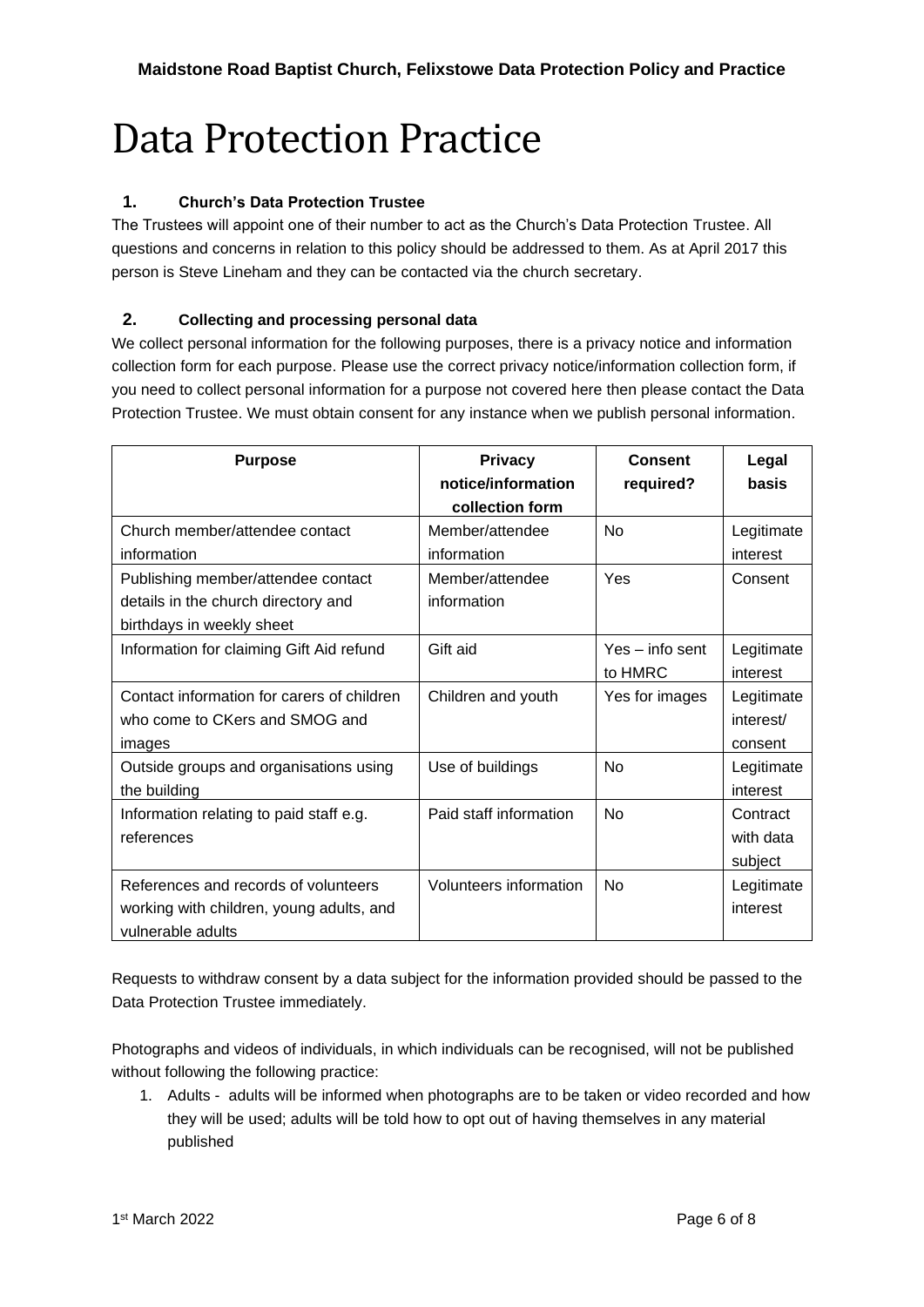# Data Protection Practice

# **1. Church's Data Protection Trustee**

The Trustees will appoint one of their number to act as the Church's Data Protection Trustee. All questions and concerns in relation to this policy should be addressed to them. As at April 2017 this person is Steve Lineham and they can be contacted via the church secretary.

# **2. Collecting and processing personal data**

We collect personal information for the following purposes, there is a privacy notice and information collection form for each purpose. Please use the correct privacy notice/information collection form, if you need to collect personal information for a purpose not covered here then please contact the Data Protection Trustee. We must obtain consent for any instance when we publish personal information.

| <b>Purpose</b>                                                                                         | <b>Privacy</b><br>notice/information<br>collection form | Consent<br>required?       | Legal<br>basis                     |
|--------------------------------------------------------------------------------------------------------|---------------------------------------------------------|----------------------------|------------------------------------|
| Church member/attendee contact<br>information                                                          | Member/attendee<br>information                          | <b>No</b>                  | Legitimate<br>interest             |
| Publishing member/attendee contact<br>details in the church directory and<br>birthdays in weekly sheet | Member/attendee<br>information                          | Yes                        | Consent                            |
| Information for claiming Gift Aid refund                                                               | Gift aid                                                | Yes – info sent<br>to HMRC | Legitimate<br>interest             |
| Contact information for carers of children<br>who come to CKers and SMOG and<br>images                 | Children and youth                                      | Yes for images             | Legitimate<br>interest/<br>consent |
| Outside groups and organisations using<br>the building                                                 | Use of buildings                                        | No                         | Legitimate<br>interest             |
| Information relating to paid staff e.g.<br>references                                                  | Paid staff information                                  | N <sub>0</sub>             | Contract<br>with data<br>subject   |
| References and records of volunteers<br>working with children, young adults, and<br>vulnerable adults  | Volunteers information                                  | <b>No</b>                  | Legitimate<br>interest             |

Requests to withdraw consent by a data subject for the information provided should be passed to the Data Protection Trustee immediately.

Photographs and videos of individuals, in which individuals can be recognised, will not be published without following the following practice:

1. Adults - adults will be informed when photographs are to be taken or video recorded and how they will be used; adults will be told how to opt out of having themselves in any material published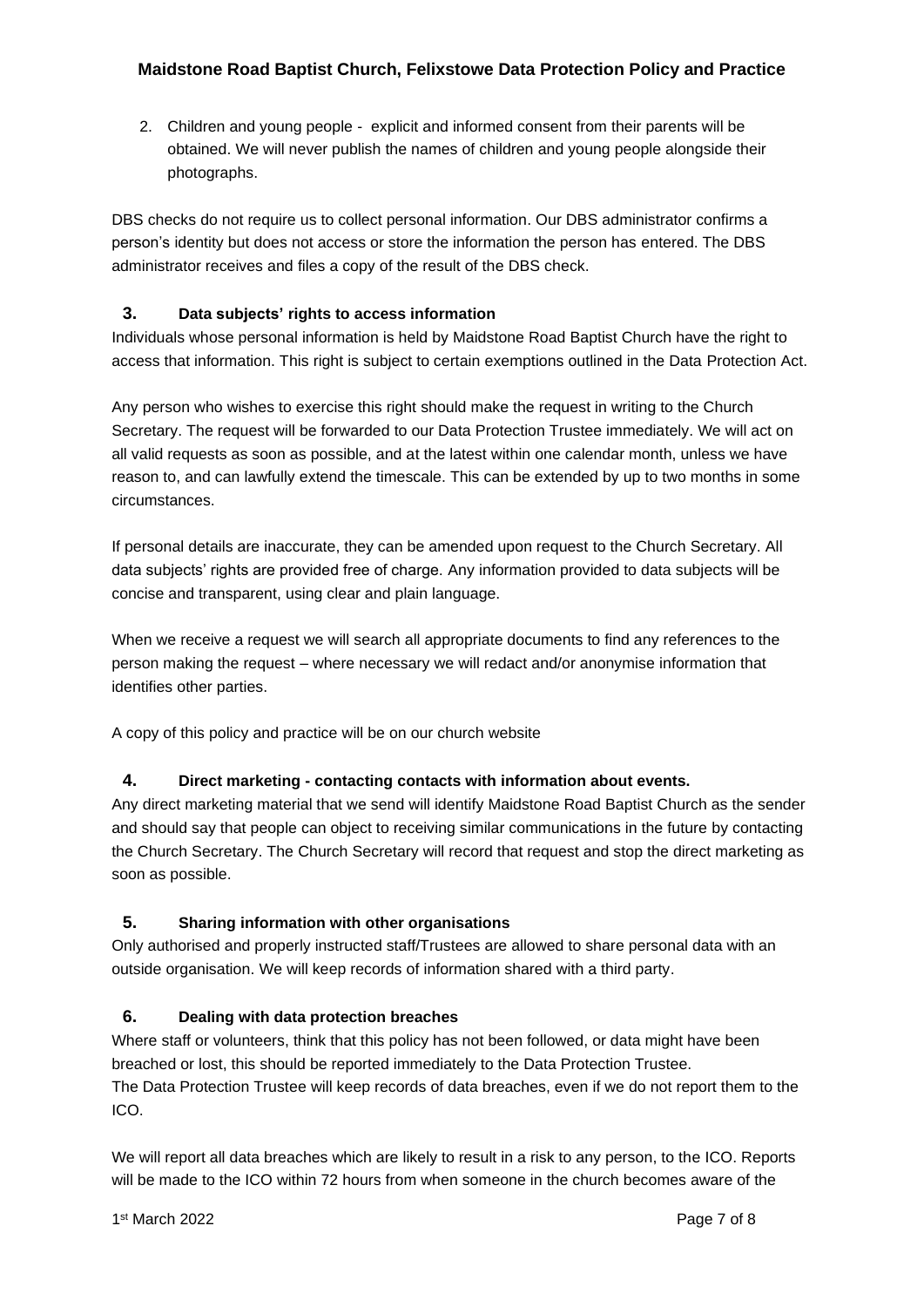2. Children and young people - explicit and informed consent from their parents will be obtained. We will never publish the names of children and young people alongside their photographs.

DBS checks do not require us to collect personal information. Our DBS administrator confirms a person's identity but does not access or store the information the person has entered. The DBS administrator receives and files a copy of the result of the DBS check.

# **3. Data subjects' rights to access information**

Individuals whose personal information is held by Maidstone Road Baptist Church have the right to access that information. This right is subject to certain exemptions outlined in the Data Protection Act.

Any person who wishes to exercise this right should make the request in writing to the Church Secretary. The request will be forwarded to our Data Protection Trustee immediately. We will act on all valid requests as soon as possible, and at the latest within one calendar month, unless we have reason to, and can lawfully extend the timescale. This can be extended by up to two months in some circumstances.

If personal details are inaccurate, they can be amended upon request to the Church Secretary. All data subjects' rights are provided free of charge. Any information provided to data subjects will be concise and transparent, using clear and plain language.

When we receive a request we will search all appropriate documents to find any references to the person making the request – where necessary we will redact and/or anonymise information that identifies other parties.

A copy of this policy and practice will be on our church website

## **4. Direct marketing - contacting contacts with information about events.**

Any direct marketing material that we send will identify Maidstone Road Baptist Church as the sender and should say that people can object to receiving similar communications in the future by contacting the Church Secretary. The Church Secretary will record that request and stop the direct marketing as soon as possible.

## **5. Sharing information with other organisations**

Only authorised and properly instructed staff/Trustees are allowed to share personal data with an outside organisation. We will keep records of information shared with a third party.

## **6. Dealing with data protection breaches**

Where staff or volunteers, think that this policy has not been followed, or data might have been breached or lost, this should be reported immediately to the Data Protection Trustee. The Data Protection Trustee will keep records of data breaches, even if we do not report them to the ICO.

We will report all data breaches which are likely to result in a risk to any person, to the ICO. Reports will be made to the ICO within 72 hours from when someone in the church becomes aware of the